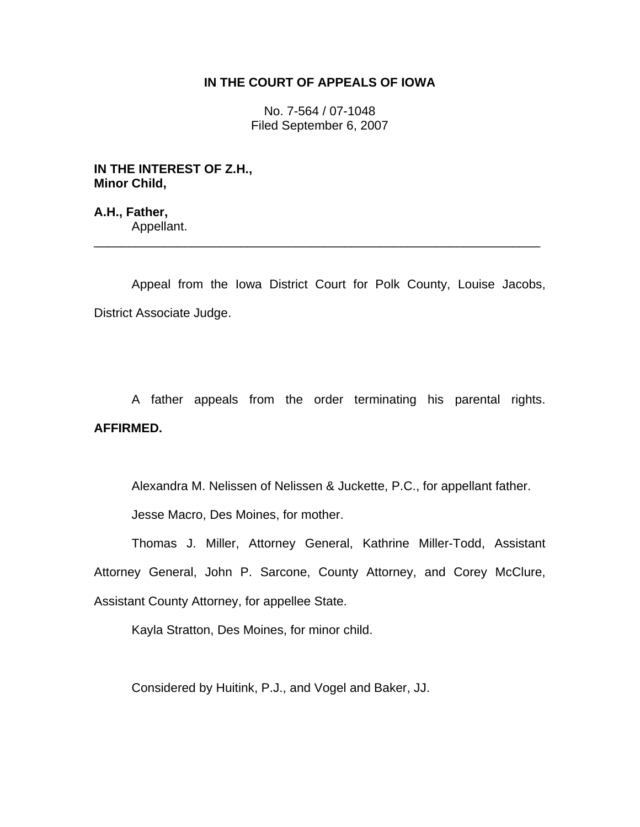# **IN THE COURT OF APPEALS OF IOWA**

No. 7-564 / 07-1048 Filed September 6, 2007

**IN THE INTEREST OF Z.H., Minor Child,** 

**A.H., Father,**  Appellant. \_\_\_\_\_\_\_\_\_\_\_\_\_\_\_\_\_\_\_\_\_\_\_\_\_\_\_\_\_\_\_\_\_\_\_\_\_\_\_\_\_\_\_\_\_\_\_\_\_\_\_\_\_\_\_\_\_\_\_\_\_\_\_\_

 Appeal from the Iowa District Court for Polk County, Louise Jacobs, District Associate Judge.

 A father appeals from the order terminating his parental rights. **AFFIRMED.** 

Alexandra M. Nelissen of Nelissen & Juckette, P.C., for appellant father.

Jesse Macro, Des Moines, for mother.

 Thomas J. Miller, Attorney General, Kathrine Miller-Todd, Assistant Attorney General, John P. Sarcone, County Attorney, and Corey McClure, Assistant County Attorney, for appellee State.

Kayla Stratton, Des Moines, for minor child.

Considered by Huitink, P.J., and Vogel and Baker, JJ.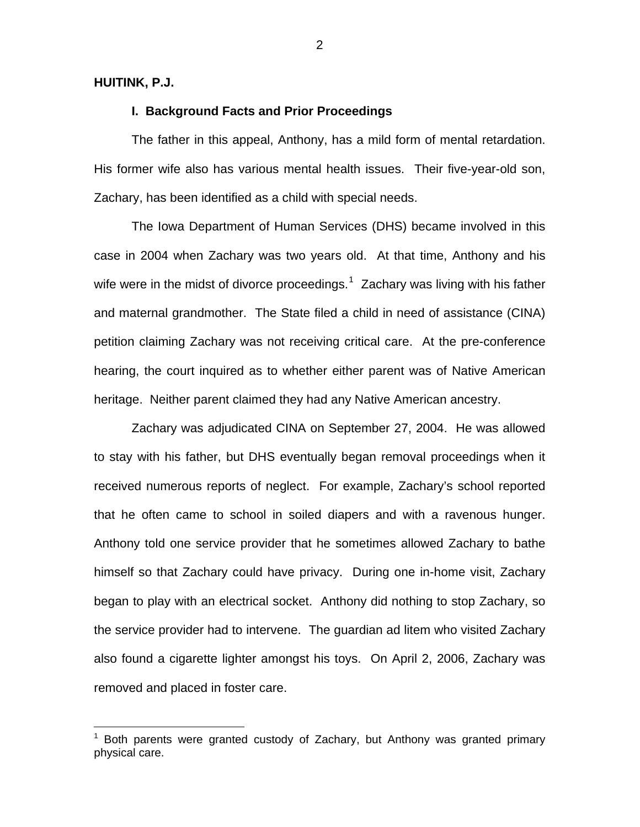#### **HUITINK, P.J.**

 $\overline{a}$ 

## **I. Background Facts and Prior Proceedings**

 The father in this appeal, Anthony, has a mild form of mental retardation. His former wife also has various mental health issues. Their five-year-old son, Zachary, has been identified as a child with special needs.

 The Iowa Department of Human Services (DHS) became involved in this case in 2004 when Zachary was two years old. At that time, Anthony and his wife were in the midst of divorce proceedings.<sup>[1](#page-1-0)</sup> Zachary was living with his father and maternal grandmother. The State filed a child in need of assistance (CINA) petition claiming Zachary was not receiving critical care. At the pre-conference hearing, the court inquired as to whether either parent was of Native American heritage. Neither parent claimed they had any Native American ancestry.

 Zachary was adjudicated CINA on September 27, 2004. He was allowed to stay with his father, but DHS eventually began removal proceedings when it received numerous reports of neglect. For example, Zachary's school reported that he often came to school in soiled diapers and with a ravenous hunger. Anthony told one service provider that he sometimes allowed Zachary to bathe himself so that Zachary could have privacy. During one in-home visit, Zachary began to play with an electrical socket. Anthony did nothing to stop Zachary, so the service provider had to intervene. The guardian ad litem who visited Zachary also found a cigarette lighter amongst his toys. On April 2, 2006, Zachary was removed and placed in foster care.

<span id="page-1-0"></span><sup>1</sup> Both parents were granted custody of Zachary, but Anthony was granted primary physical care.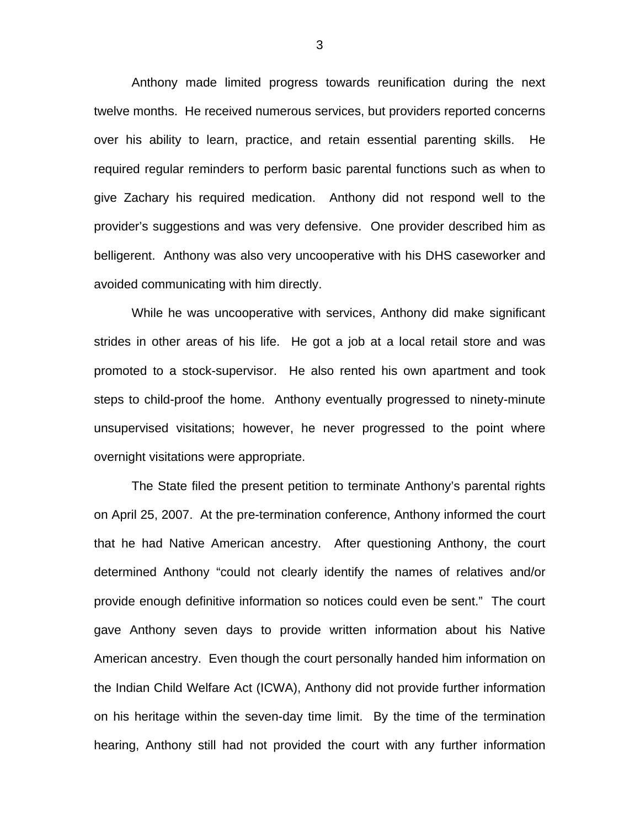Anthony made limited progress towards reunification during the next twelve months. He received numerous services, but providers reported concerns over his ability to learn, practice, and retain essential parenting skills. He required regular reminders to perform basic parental functions such as when to give Zachary his required medication. Anthony did not respond well to the provider's suggestions and was very defensive. One provider described him as belligerent. Anthony was also very uncooperative with his DHS caseworker and avoided communicating with him directly.

 While he was uncooperative with services, Anthony did make significant strides in other areas of his life. He got a job at a local retail store and was promoted to a stock-supervisor. He also rented his own apartment and took steps to child-proof the home. Anthony eventually progressed to ninety-minute unsupervised visitations; however, he never progressed to the point where overnight visitations were appropriate.

 The State filed the present petition to terminate Anthony's parental rights on April 25, 2007. At the pre-termination conference, Anthony informed the court that he had Native American ancestry. After questioning Anthony, the court determined Anthony "could not clearly identify the names of relatives and/or provide enough definitive information so notices could even be sent." The court gave Anthony seven days to provide written information about his Native American ancestry. Even though the court personally handed him information on the Indian Child Welfare Act (ICWA), Anthony did not provide further information on his heritage within the seven-day time limit. By the time of the termination hearing, Anthony still had not provided the court with any further information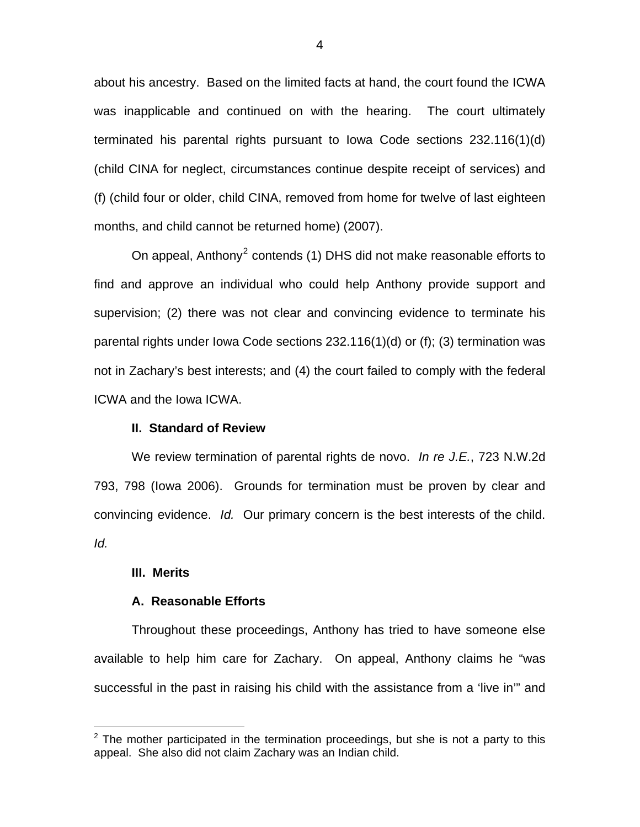about his ancestry. Based on the limited facts at hand, the court found the ICWA was inapplicable and continued on with the hearing. The court ultimately terminated his parental rights pursuant to Iowa Code sections 232.116(1)(d) (child CINA for neglect, circumstances continue despite receipt of services) and (f) (child four or older, child CINA, removed from home for twelve of last eighteen months, and child cannot be returned home) (2007).

On appeal, Anthony<sup>[2](#page-3-0)</sup> contends (1) DHS did not make reasonable efforts to find and approve an individual who could help Anthony provide support and supervision; (2) there was not clear and convincing evidence to terminate his parental rights under Iowa Code sections 232.116(1)(d) or (f); (3) termination was not in Zachary's best interests; and (4) the court failed to comply with the federal ICWA and the Iowa ICWA.

#### **II. Standard of Review**

 We review termination of parental rights de novo. *In re J.E.*, 723 N.W.2d 793, 798 (Iowa 2006). Grounds for termination must be proven by clear and convincing evidence. *Id.* Our primary concern is the best interests of the child. *Id.*

#### **III. Merits**

 $\overline{a}$ 

#### **A. Reasonable Efforts**

 Throughout these proceedings, Anthony has tried to have someone else available to help him care for Zachary. On appeal, Anthony claims he "was successful in the past in raising his child with the assistance from a 'live in'" and

<span id="page-3-0"></span> $2$  The mother participated in the termination proceedings, but she is not a party to this appeal. She also did not claim Zachary was an Indian child.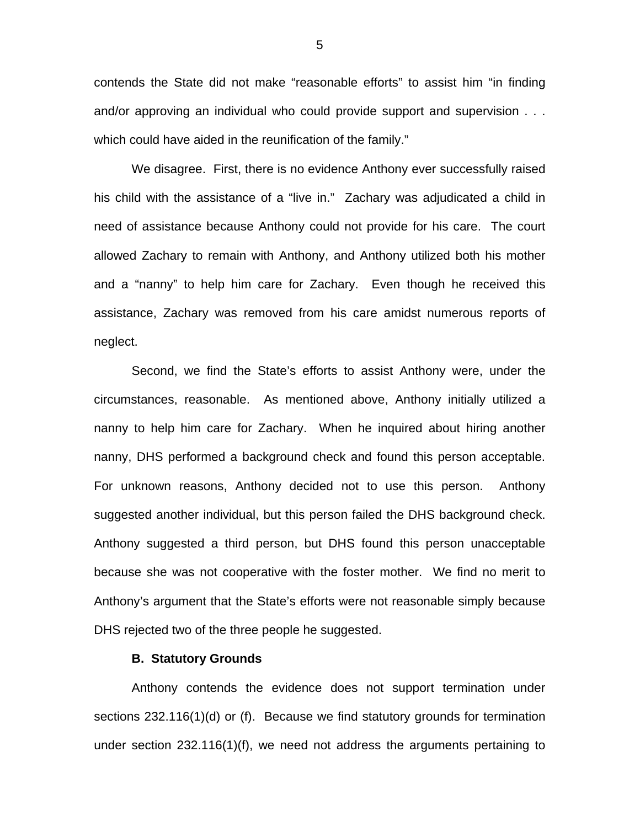contends the State did not make "reasonable efforts" to assist him "in finding and/or approving an individual who could provide support and supervision . . . which could have aided in the reunification of the family."

 We disagree. First, there is no evidence Anthony ever successfully raised his child with the assistance of a "live in." Zachary was adjudicated a child in need of assistance because Anthony could not provide for his care. The court allowed Zachary to remain with Anthony, and Anthony utilized both his mother and a "nanny" to help him care for Zachary. Even though he received this assistance, Zachary was removed from his care amidst numerous reports of neglect.

 Second, we find the State's efforts to assist Anthony were, under the circumstances, reasonable. As mentioned above, Anthony initially utilized a nanny to help him care for Zachary. When he inquired about hiring another nanny, DHS performed a background check and found this person acceptable. For unknown reasons, Anthony decided not to use this person. Anthony suggested another individual, but this person failed the DHS background check. Anthony suggested a third person, but DHS found this person unacceptable because she was not cooperative with the foster mother. We find no merit to Anthony's argument that the State's efforts were not reasonable simply because DHS rejected two of the three people he suggested.

#### **B. Statutory Grounds**

 Anthony contends the evidence does not support termination under sections 232.116(1)(d) or (f). Because we find statutory grounds for termination under section 232.116(1)(f), we need not address the arguments pertaining to

5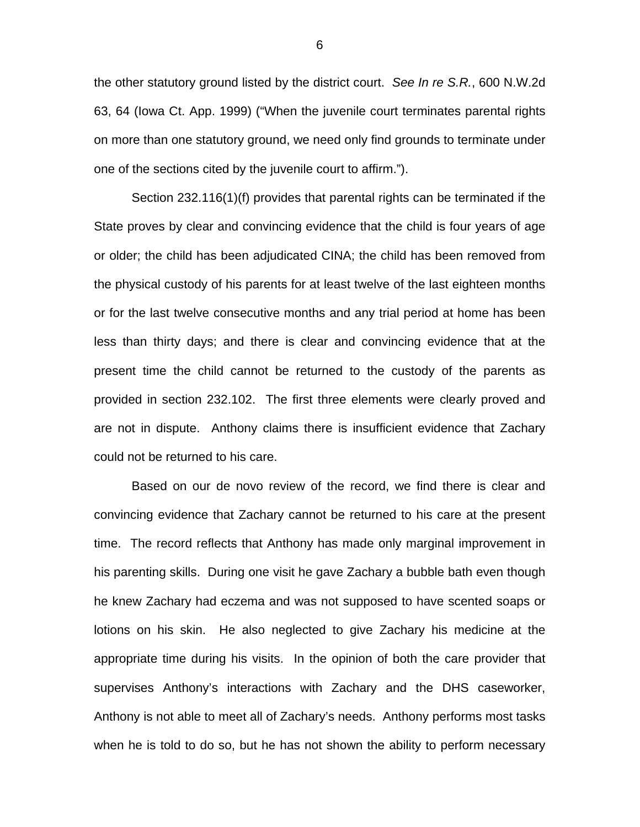the other statutory ground listed by the district court. *See In re S.R.*, 600 N.W.2d 63, 64 (Iowa Ct. App. 1999) ("When the juvenile court terminates parental rights on more than one statutory ground, we need only find grounds to terminate under one of the sections cited by the juvenile court to affirm.").

 Section 232.116(1)(f) provides that parental rights can be terminated if the State proves by clear and convincing evidence that the child is four years of age or older; the child has been adjudicated CINA; the child has been removed from the physical custody of his parents for at least twelve of the last eighteen months or for the last twelve consecutive months and any trial period at home has been less than thirty days; and there is clear and convincing evidence that at the present time the child cannot be returned to the custody of the parents as provided in section 232.102. The first three elements were clearly proved and are not in dispute. Anthony claims there is insufficient evidence that Zachary could not be returned to his care.

 Based on our de novo review of the record, we find there is clear and convincing evidence that Zachary cannot be returned to his care at the present time. The record reflects that Anthony has made only marginal improvement in his parenting skills. During one visit he gave Zachary a bubble bath even though he knew Zachary had eczema and was not supposed to have scented soaps or lotions on his skin. He also neglected to give Zachary his medicine at the appropriate time during his visits. In the opinion of both the care provider that supervises Anthony's interactions with Zachary and the DHS caseworker, Anthony is not able to meet all of Zachary's needs. Anthony performs most tasks when he is told to do so, but he has not shown the ability to perform necessary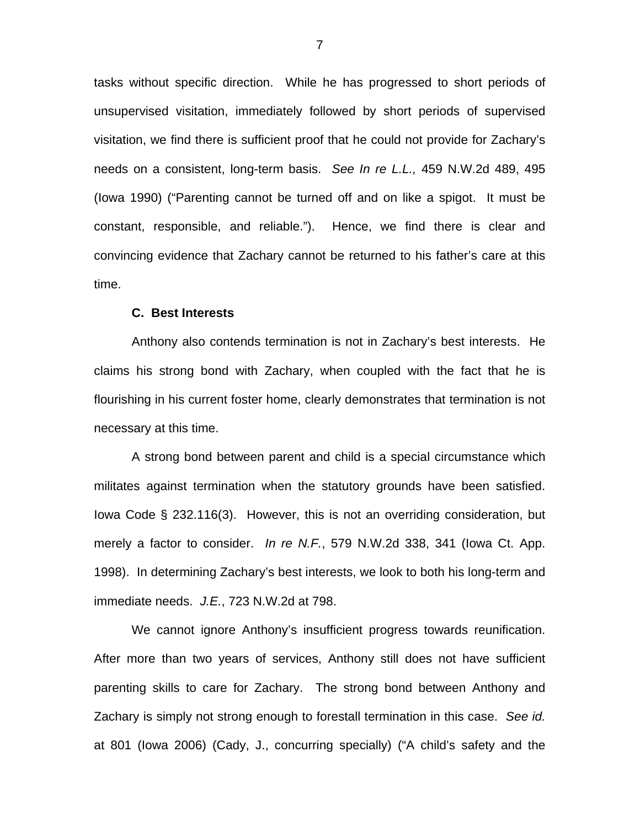tasks without specific direction. While he has progressed to short periods of unsupervised visitation, immediately followed by short periods of supervised visitation, we find there is sufficient proof that he could not provide for Zachary's needs on a consistent, long-term basis. *See In re L.L.,* 459 N.W.2d 489, 495 (Iowa 1990) ("Parenting cannot be turned off and on like a spigot. It must be constant, responsible, and reliable."). Hence, we find there is clear and convincing evidence that Zachary cannot be returned to his father's care at this time.

#### **C. Best Interests**

 Anthony also contends termination is not in Zachary's best interests. He claims his strong bond with Zachary, when coupled with the fact that he is flourishing in his current foster home, clearly demonstrates that termination is not necessary at this time.

 A strong bond between parent and child is a special circumstance which militates against termination when the statutory grounds have been satisfied. Iowa Code § 232.116(3). However, this is not an overriding consideration, but merely a factor to consider. *In re N.F.*, 579 N.W.2d 338, 341 (Iowa Ct. App. 1998). In determining Zachary's best interests, we look to both his long-term and immediate needs. *J.E.*, 723 N.W.2d at 798.

 We cannot ignore Anthony's insufficient progress towards reunification. After more than two years of services, Anthony still does not have sufficient parenting skills to care for Zachary. The strong bond between Anthony and Zachary is simply not strong enough to forestall termination in this case. *See id.*  at 801 (Iowa 2006) (Cady, J., concurring specially) ("A child's safety and the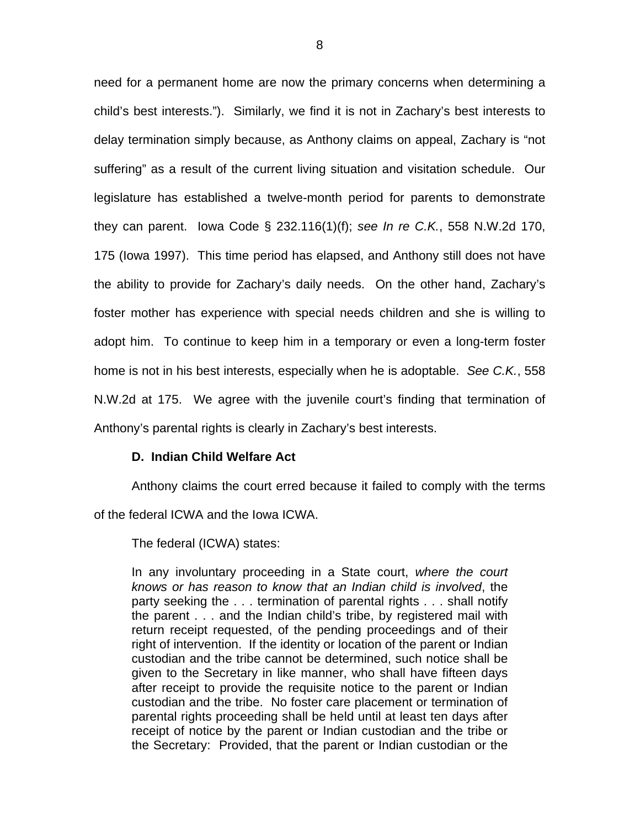need for a permanent home are now the primary concerns when determining a child's best interests."). Similarly, we find it is not in Zachary's best interests to delay termination simply because, as Anthony claims on appeal, Zachary is "not suffering" as a result of the current living situation and visitation schedule. Our legislature has established a twelve-month period for parents to demonstrate they can parent. Iowa Code § 232.116(1)(f); *see In re C.K.*, 558 N.W.2d 170, 175 (Iowa 1997). This time period has elapsed, and Anthony still does not have the ability to provide for Zachary's daily needs. On the other hand, Zachary's foster mother has experience with special needs children and she is willing to adopt him. To continue to keep him in a temporary or even a long-term foster home is not in his best interests, especially when he is adoptable. *See C.K.*, 558 N.W.2d at 175. We agree with the juvenile court's finding that termination of Anthony's parental rights is clearly in Zachary's best interests.

# **D. Indian Child Welfare Act**

 Anthony claims the court erred because it failed to comply with the terms of the federal ICWA and the Iowa ICWA.

The federal (ICWA) states:

In any involuntary proceeding in a State court, *where the court knows or has reason to know that an Indian child is involved*, the party seeking the . . . termination of parental rights . . . shall notify the parent . . . and the Indian child's tribe, by registered mail with return receipt requested, of the pending proceedings and of their right of intervention. If the identity or location of the parent or Indian custodian and the tribe cannot be determined, such notice shall be given to the Secretary in like manner, who shall have fifteen days after receipt to provide the requisite notice to the parent or Indian custodian and the tribe. No foster care placement or termination of parental rights proceeding shall be held until at least ten days after receipt of notice by the parent or Indian custodian and the tribe or the Secretary: Provided, that the parent or Indian custodian or the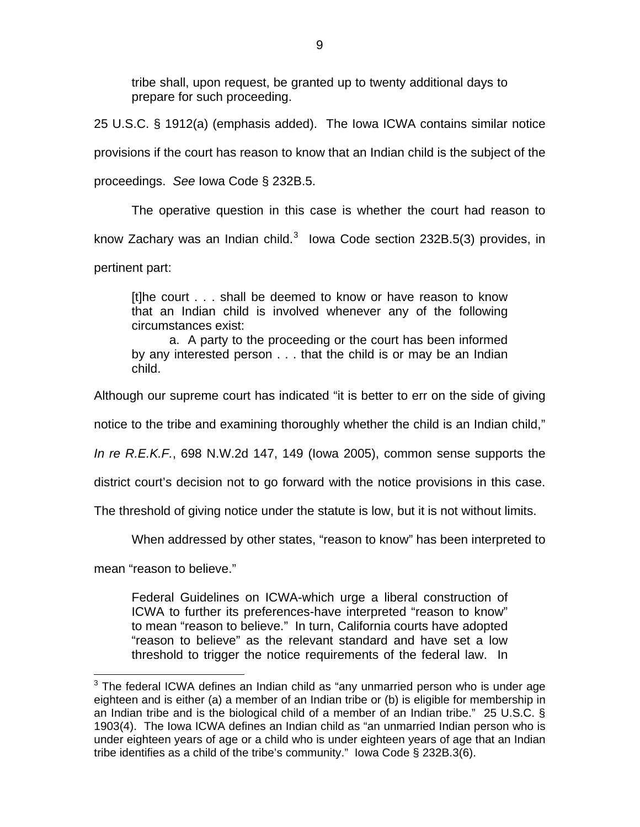tribe shall, upon request, be granted up to twenty additional days to prepare for such proceeding.

25 U.S.C. § 1912(a) (emphasis added). The Iowa ICWA contains similar notice provisions if the court has reason to know that an Indian child is the subject of the proceedings. *See* Iowa Code § 232B.5.

 The operative question in this case is whether the court had reason to know Zachary was an Indian child.<sup>[3](#page-8-0)</sup> lowa Code section 232B.5(3) provides, in pertinent part:

[t]he court . . . shall be deemed to know or have reason to know that an Indian child is involved whenever any of the following circumstances exist:

 a. A party to the proceeding or the court has been informed by any interested person . . . that the child is or may be an Indian child.

Although our supreme court has indicated "it is better to err on the side of giving

notice to the tribe and examining thoroughly whether the child is an Indian child,"

*In re R.E.K.F.*, 698 N.W.2d 147, 149 (Iowa 2005), common sense supports the

district court's decision not to go forward with the notice provisions in this case.

The threshold of giving notice under the statute is low, but it is not without limits.

When addressed by other states, "reason to know" has been interpreted to

mean "reason to believe."

Federal Guidelines on ICWA-which urge a liberal construction of ICWA to further its preferences-have interpreted "reason to know" to mean "reason to believe." In turn, California courts have adopted "reason to believe" as the relevant standard and have set a low threshold to trigger the notice requirements of the federal law. In

<span id="page-8-0"></span> 3 The federal ICWA defines an Indian child as "any unmarried person who is under age eighteen and is either (a) a member of an Indian tribe or (b) is eligible for membership in an Indian tribe and is the biological child of a member of an Indian tribe." 25 U.S.C. § 1903(4). The Iowa ICWA defines an Indian child as "an unmarried Indian person who is under eighteen years of age or a child who is under eighteen years of age that an Indian tribe identifies as a child of the tribe's community." Iowa Code § 232B.3(6).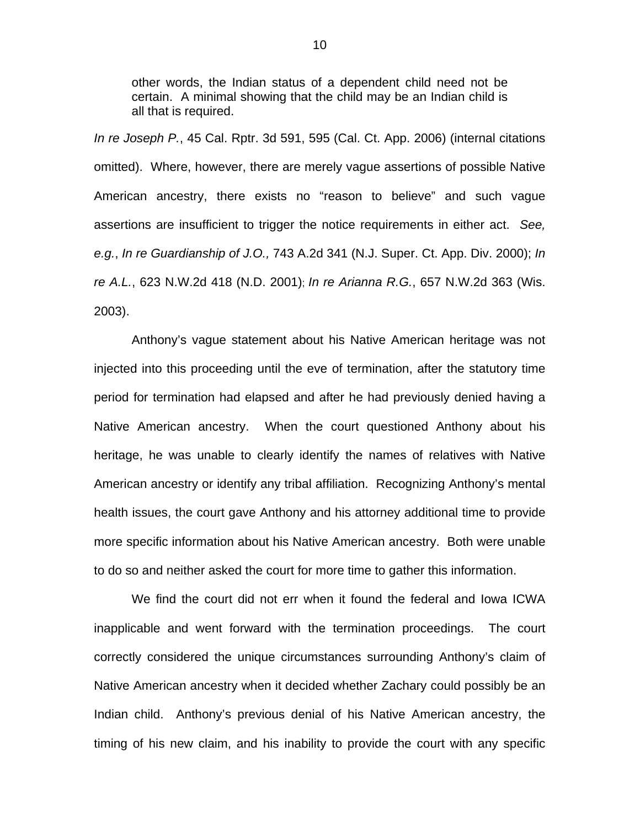other words, the Indian status of a dependent child need not be certain. A minimal showing that the child may be an Indian child is all that is required.

*In re Joseph P.*, 45 Cal. Rptr. 3d 591, 595 (Cal. Ct. App. 2006) (internal citations omitted). Where, however, there are merely vague assertions of possible Native American ancestry, there exists no "reason to believe" and such vague assertions are insufficient to trigger the notice requirements in either act. *See, e.g.*, *In re Guardianship of J.O.,* 743 A.2d 341 (N.J. Super. Ct. App. Div. 2000); *In re A.L.*, 623 N.W.2d 418 (N.D. 2001); *In re Arianna R.G.*, 657 N.W.2d 363 (Wis. 2003).

 Anthony's vague statement about his Native American heritage was not injected into this proceeding until the eve of termination, after the statutory time period for termination had elapsed and after he had previously denied having a Native American ancestry. When the court questioned Anthony about his heritage, he was unable to clearly identify the names of relatives with Native American ancestry or identify any tribal affiliation. Recognizing Anthony's mental health issues, the court gave Anthony and his attorney additional time to provide more specific information about his Native American ancestry. Both were unable to do so and neither asked the court for more time to gather this information.

 We find the court did not err when it found the federal and Iowa ICWA inapplicable and went forward with the termination proceedings. The court correctly considered the unique circumstances surrounding Anthony's claim of Native American ancestry when it decided whether Zachary could possibly be an Indian child. Anthony's previous denial of his Native American ancestry, the timing of his new claim, and his inability to provide the court with any specific